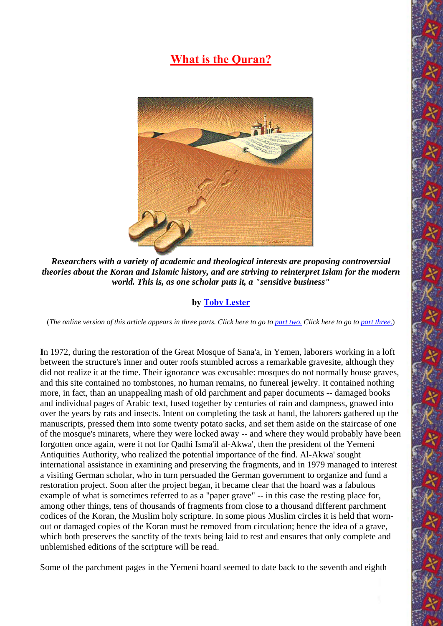# **What is the Quran?**



*Researchers with a variety of academic and theological interests are proposing controversial theories about the Koran and Islamic history, and are striving to reinterpret Islam for the modern world. This is, as one scholar puts it, a "sensitive business"*

#### **by [Toby Lester](http://www.theatlantic.com/issues/99jan/990177.htm)**

(*The online version of this article appears in three parts. Click here to go to [part two.](http://derafsh-kaviyani.com/english/quran2.html) Click here to go to [part three.](http://derafsh-kaviyani.com/english/quran3.html)*)

**I**n 1972, during the restoration of the Great Mosque of Sana'a, in Yemen, laborers working in a loft between the structure's inner and outer roofs stumbled across a remarkable gravesite, although they did not realize it at the time. Their ignorance was excusable: mosques do not normally house graves, and this site contained no tombstones, no human remains, no funereal jewelry. It contained nothing more, in fact, than an unappealing mash of old parchment and paper documents -- damaged books and individual pages of Arabic text, fused together by centuries of rain and dampness, gnawed into over the years by rats and insects. Intent on completing the task at hand, the laborers gathered up the manuscripts, pressed them into some twenty potato sacks, and set them aside on the staircase of one of the mosque's minarets, where they were locked away -- and where they would probably have been forgotten once again, were it not for Qadhi Isma'il al-Akwa', then the president of the Yemeni Antiquities Authority, who realized the potential importance of the find. Al-Akwa' sought international assistance in examining and preserving the fragments, and in 1979 managed to interest a visiting German scholar, who in turn persuaded the German government to organize and fund a restoration project. Soon after the project began, it became clear that the hoard was a fabulous example of what is sometimes referred to as a "paper grave" -- in this case the resting place for, among other things, tens of thousands of fragments from close to a thousand different parchment codices of the Koran, the Muslim holy scripture. In some pious Muslim circles it is held that wornout or damaged copies of the Koran must be removed from circulation; hence the idea of a grave, which both preserves the sanctity of the texts being laid to rest and ensures that only complete and unblemished editions of the scripture will be read.

Some of the parchment pages in the Yemeni hoard seemed to date back to the seventh and eighth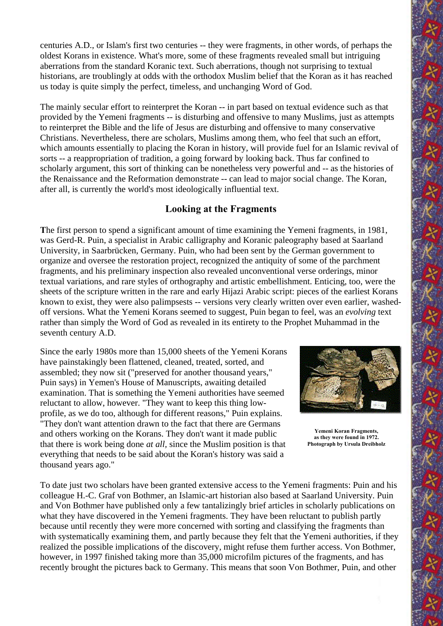centuries A.D., or Islam's first two centuries -- they were fragments, in other words, of perhaps the oldest Korans in existence. What's more, some of these fragments revealed small but intriguing aberrations from the standard Koranic text. Such aberrations, though not surprising to textual historians, are troublingly at odds with the orthodox Muslim belief that the Koran as it has reached us today is quite simply the perfect, timeless, and unchanging Word of God.

The mainly secular effort to reinterpret the Koran -- in part based on textual evidence such as that provided by the Yemeni fragments -- is disturbing and offensive to many Muslims, just as attempts to reinterpret the Bible and the life of Jesus are disturbing and offensive to many conservative Christians. Nevertheless, there are scholars, Muslims among them, who feel that such an effort, which amounts essentially to placing the Koran in history, will provide fuel for an Islamic revival of sorts -- a reappropriation of tradition, a going forward by looking back. Thus far confined to scholarly argument, this sort of thinking can be nonetheless very powerful and -- as the histories of the Renaissance and the Reformation demonstrate -- can lead to major social change. The Koran, after all, is currently the world's most ideologically influential text.

#### **Looking at the Fragments**

**T**he first person to spend a significant amount of time examining the Yemeni fragments, in 1981, was Gerd-R. Puin, a specialist in Arabic calligraphy and Koranic paleography based at Saarland University, in Saarbrücken, Germany. Puin, who had been sent by the German government to organize and oversee the restoration project, recognized the antiquity of some of the parchment fragments, and his preliminary inspection also revealed unconventional verse orderings, minor textual variations, and rare styles of orthography and artistic embellishment. Enticing, too, were the sheets of the scripture written in the rare and early Hijazi Arabic script: pieces of the earliest Korans known to exist, they were also palimpsests -- versions very clearly written over even earlier, washedoff versions. What the Yemeni Korans seemed to suggest, Puin began to feel, was an *evolving* text rather than simply the Word of God as revealed in its entirety to the Prophet Muhammad in the seventh century A.D.

Since the early 1980s more than 15,000 sheets of the Yemeni Korans have painstakingly been flattened, cleaned, treated, sorted, and assembled; they now sit ("preserved for another thousand years," Puin says) in Yemen's House of Manuscripts, awaiting detailed examination. That is something the Yemeni authorities have seemed reluctant to allow, however. "They want to keep this thing lowprofile, as we do too, although for different reasons," Puin explains. "They don't want attention drawn to the fact that there are Germans and others working on the Korans. They don't want it made public that there is work being done *at all,* since the Muslim position is that everything that needs to be said about the Koran's history was said a thousand years ago."



**Yemeni Koran Fragments, as they were found in 1972. Photograph by Ursula Dreibholz** 

To date just two scholars have been granted extensive access to the Yemeni fragments: Puin and his colleague H.-C. Graf von Bothmer, an Islamic-art historian also based at Saarland University. Puin and Von Bothmer have published only a few tantalizingly brief articles in scholarly publications on what they have discovered in the Yemeni fragments. They have been reluctant to publish partly because until recently they were more concerned with sorting and classifying the fragments than with systematically examining them, and partly because they felt that the Yemeni authorities, if they realized the possible implications of the discovery, might refuse them further access. Von Bothmer, however, in 1997 finished taking more than 35,000 microfilm pictures of the fragments, and has recently brought the pictures back to Germany. This means that soon Von Bothmer, Puin, and other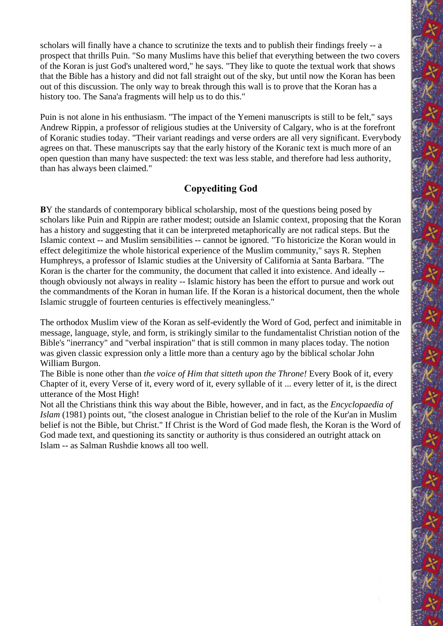scholars will finally have a chance to scrutinize the texts and to publish their findings freely -- a prospect that thrills Puin. "So many Muslims have this belief that everything between the two covers of the Koran is just God's unaltered word," he says. "They like to quote the textual work that shows that the Bible has a history and did not fall straight out of the sky, but until now the Koran has been out of this discussion. The only way to break through this wall is to prove that the Koran has a history too. The Sana'a fragments will help us to do this."

Puin is not alone in his enthusiasm. "The impact of the Yemeni manuscripts is still to be felt," says Andrew Rippin, a professor of religious studies at the University of Calgary, who is at the forefront of Koranic studies today. "Their variant readings and verse orders are all very significant. Everybody agrees on that. These manuscripts say that the early history of the Koranic text is much more of an open question than many have suspected: the text was less stable, and therefore had less authority, than has always been claimed."

## **Copyediting God**

**B**Y the standards of contemporary biblical scholarship, most of the questions being posed by scholars like Puin and Rippin are rather modest; outside an Islamic context, proposing that the Koran has a history and suggesting that it can be interpreted metaphorically are not radical steps. But the Islamic context -- and Muslim sensibilities -- cannot be ignored. "To historicize the Koran would in effect delegitimize the whole historical experience of the Muslim community," says R. Stephen Humphreys, a professor of Islamic studies at the University of California at Santa Barbara. "The Koran is the charter for the community, the document that called it into existence. And ideally - though obviously not always in reality -- Islamic history has been the effort to pursue and work out the commandments of the Koran in human life. If the Koran is a historical document, then the whole Islamic struggle of fourteen centuries is effectively meaningless."

The orthodox Muslim view of the Koran as self-evidently the Word of God, perfect and inimitable in message, language, style, and form, is strikingly similar to the fundamentalist Christian notion of the Bible's "inerrancy" and "verbal inspiration" that is still common in many places today. The notion was given classic expression only a little more than a century ago by the biblical scholar John William Burgon.

The Bible is none other than *the voice of Him that sitteth upon the Throne!* Every Book of it, every Chapter of it, every Verse of it, every word of it, every syllable of it ... every letter of it, is the direct utterance of the Most High!

Not all the Christians think this way about the Bible, however, and in fact, as the *Encyclopaedia of Islam* (1981) points out, "the closest analogue in Christian belief to the role of the Kur'an in Muslim belief is not the Bible, but Christ." If Christ is the Word of God made flesh, the Koran is the Word of God made text, and questioning its sanctity or authority is thus considered an outright attack on Islam -- as Salman Rushdie knows all too well.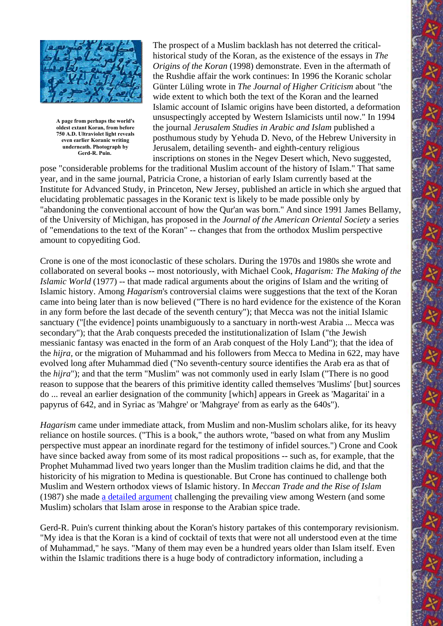

**A page from perhaps the world's oldest extant Koran, from before 750 A.D. Ultraviolet light reveals even earlier Koranic writing underneath. Photograph by Gerd-R. Puin.** 

The prospect of a Muslim backlash has not deterred the criticalhistorical study of the Koran, as the existence of the essays in *The Origins of the Koran* (1998) demonstrate. Even in the aftermath of the Rushdie affair the work continues: In 1996 the Koranic scholar Günter Lüling wrote in *The Journal of Higher Criticism* about "the wide extent to which both the text of the Koran and the learned Islamic account of Islamic origins have been distorted, a deformation unsuspectingly accepted by Western Islamicists until now." In 1994 the journal *Jerusalem Studies in Arabic and Islam* published a posthumous study by Yehuda D. Nevo, of the Hebrew University in Jerusalem, detailing seventh- and eighth-century religious inscriptions on stones in the Negev Desert which, Nevo suggested,

pose "considerable problems for the traditional Muslim account of the history of Islam." That same year, and in the same journal, Patricia Crone, a historian of early Islam currently based at the Institute for Advanced Study, in Princeton, New Jersey, published an article in which she argued that elucidating problematic passages in the Koranic text is likely to be made possible only by "abandoning the conventional account of how the Qur'an was born." And since 1991 James Bellamy, of the University of Michigan, has proposed in the *Journal of the American Oriental Society* a series of "emendations to the text of the Koran" -- changes that from the orthodox Muslim perspective amount to copyediting God.

Crone is one of the most iconoclastic of these scholars. During the 1970s and 1980s she wrote and collaborated on several books -- most notoriously, with Michael Cook, *Hagarism: The Making of the Islamic World* (1977) -- that made radical arguments about the origins of Islam and the writing of Islamic history. Among *Hagarism*'s controversial claims were suggestions that the text of the Koran came into being later than is now believed ("There is no hard evidence for the existence of the Koran in any form before the last decade of the seventh century"); that Mecca was not the initial Islamic sanctuary ("[the evidence] points unambiguously to a sanctuary in north-west Arabia ... Mecca was secondary"); that the Arab conquests preceded the institutionalization of Islam ("the Jewish messianic fantasy was enacted in the form of an Arab conquest of the Holy Land"); that the idea of the *hijra,* or the migration of Muhammad and his followers from Mecca to Medina in 622, may have evolved long after Muhammad died ("No seventh-century source identifies the Arab era as that of the *hijra*"); and that the term "Muslim" was not commonly used in early Islam ("There is no good reason to suppose that the bearers of this primitive identity called themselves 'Muslims' [but] sources do ... reveal an earlier designation of the community [which] appears in Greek as 'Magaritai' in a papyrus of 642, and in Syriac as 'Mahgre' or 'Mahgraye' from as early as the 640s").

*Hagarism* came under immediate attack, from Muslim and non-Muslim scholars alike, for its heavy reliance on hostile sources. ("This is a book," the authors wrote, "based on what from any Muslim perspective must appear an inordinate regard for the testimony of infidel sources.") Crone and Cook have since backed away from some of its most radical propositions -- such as, for example, that the Prophet Muhammad lived two years longer than the Muslim tradition claims he did, and that the historicity of his migration to Medina is questionable. But Crone has continued to challenge both Muslim and Western orthodox views of Islamic history. In *Meccan Trade and the Rise of Islam* (1987) she made [a detailed argument](http://www.fordham.edu/halsall/med/crone.html%0D) challenging the prevailing view among Western (and some Muslim) scholars that Islam arose in response to the Arabian spice trade.

Gerd-R. Puin's current thinking about the Koran's history partakes of this contemporary revisionism. "My idea is that the Koran is a kind of cocktail of texts that were not all understood even at the time of Muhammad," he says. "Many of them may even be a hundred years older than Islam itself. Even within the Islamic traditions there is a huge body of contradictory information, including a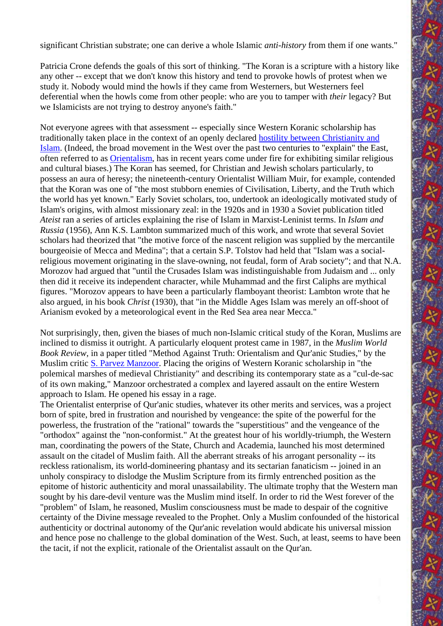significant Christian substrate; one can derive a whole Islamic *anti-history* from them if one wants."

Patricia Crone defends the goals of this sort of thinking. "The Koran is a scripture with a history like any other -- except that we don't know this history and tend to provoke howls of protest when we study it. Nobody would mind the howls if they came from Westerners, but Westerners feel deferential when the howls come from other people: who are you to tamper with *their* legacy? But we Islamicists are not trying to destroy anyone's faith."

Not everyone agrees with that assessment -- especially since Western Koranic scholarship has traditionally taken place in the context of an openly declared [hostility between Christianity and](http://debate.org.uk/topics/history/debate/part1.htm)  [Islam.](http://debate.org.uk/topics/history/debate/part1.htm) (Indeed, the broad movement in the West over the past two centuries to "explain" the East, often referred to as [Orientalism,](http://www.stg.brown.edu/projects/hypertext/landow/post/poldiscourse/pol11.html) has in recent years come under fire for exhibiting similar religious and cultural biases.) The Koran has seemed, for Christian and Jewish scholars particularly, to possess an aura of heresy; the nineteenth-century Orientalist William Muir, for example, contended that the Koran was one of "the most stubborn enemies of Civilisation, Liberty, and the Truth which the world has yet known." Early Soviet scholars, too, undertook an ideologically motivated study of Islam's origins, with almost missionary zeal: in the 1920s and in 1930 a Soviet publication titled *Ateist* ran a series of articles explaining the rise of Islam in Marxist-Leninist terms. In *Islam and Russia* (1956), Ann K.S. Lambton summarized much of this work, and wrote that several Soviet scholars had theorized that "the motive force of the nascent religion was supplied by the mercantile bourgeoisie of Mecca and Medina"; that a certain S.P. Tolstov had held that "Islam was a socialreligious movement originating in the slave-owning, not feudal, form of Arab society"; and that N.A. Morozov had argued that "until the Crusades Islam was indistinguishable from Judaism and ... only then did it receive its independent character, while Muhammad and the first Caliphs are mythical figures. "Morozov appears to have been a particularly flamboyant theorist: Lambton wrote that he also argued, in his book *Christ* (1930), that "in the Middle Ages Islam was merely an off-shoot of Arianism evoked by a meteorological event in the Red Sea area near Mecca."

Not surprisingly, then, given the biases of much non-Islamic critical study of the Koran, Muslims are inclined to dismiss it outright. A particularly eloquent protest came in 1987, in the *Muslim World Book Review,* in a paper titled "Method Against Truth: Orientalism and Qur'anic Studies," by the Muslim critic [S. Parvez Manzoor.](http://www.algonet.se/%7Epmanzoor/) Placing the origins of Western Koranic scholarship in "the polemical marshes of medieval Christianity" and describing its contemporary state as a "cul-de-sac of its own making," Manzoor orchestrated a complex and layered assault on the entire Western approach to Islam. He opened his essay in a rage.

The Orientalist enterprise of Qur'anic studies, whatever its other merits and services, was a project born of spite, bred in frustration and nourished by vengeance: the spite of the powerful for the powerless, the frustration of the "rational" towards the "superstitious" and the vengeance of the "orthodox" against the "non-conformist." At the greatest hour of his worldly-triumph, the Western man, coordinating the powers of the State, Church and Academia, launched his most determined assault on the citadel of Muslim faith. All the aberrant streaks of his arrogant personality -- its reckless rationalism, its world-domineering phantasy and its sectarian fanaticism -- joined in an unholy conspiracy to dislodge the Muslim Scripture from its firmly entrenched position as the epitome of historic authenticity and moral unassailability. The ultimate trophy that the Western man sought by his dare-devil venture was the Muslim mind itself. In order to rid the West forever of the "problem" of Islam, he reasoned, Muslim consciousness must be made to despair of the cognitive certainty of the Divine message revealed to the Prophet. Only a Muslim confounded of the historical authenticity or doctrinal autonomy of the Qur'anic revelation would abdicate his universal mission and hence pose no challenge to the global domination of the West. Such, at least, seems to have been the tacit, if not the explicit, rationale of the Orientalist assault on the Qur'an.